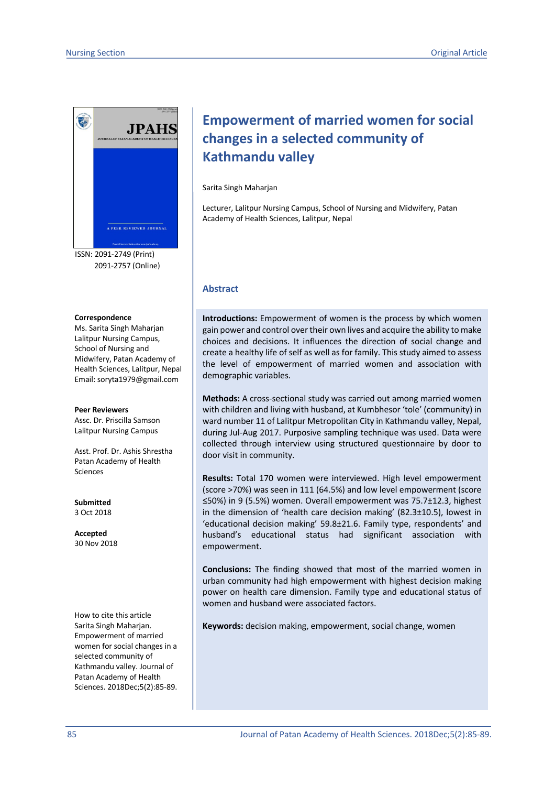

ISSN: 2091-2749 (Print) 2091-2757 (Online)

#### **Correspondence**

Ms. Sarita Singh Maharjan Lalitpur Nursing Campus, School of Nursing and Midwifery, Patan Academy of Health Sciences, Lalitpur, Nepal Email: soryta1979@gmail.com

#### **Peer Reviewers**

Assc. Dr. Priscilla Samson Lalitpur Nursing Campus

Asst. Prof. Dr. Ashis Shrestha Patan Academy of Health Sciences

**Submitted** 3 Oct 2018

**Accepted** 30 Nov 2018

How to cite this article Sarita Singh Maharjan. Empowerment of married women for social changes in a selected community of Kathmandu valley. Journal of Patan Academy of Health Sciences. 2018Dec;5(2):85-89.

# **Empowerment of married women for social changes in a selected community of Kathmandu valley**

#### Sarita Singh Maharjan

Lecturer, Lalitpur Nursing Campus, School of Nursing and Midwifery, Patan Academy of Health Sciences, Lalitpur, Nepal

#### **Abstract**

**Introductions:** Empowerment of women is the process by which women gain power and control over their own lives and acquire the ability to make choices and decisions. It influences the direction of social change and create a healthy life of self as well as for family. This study aimed to assess the level of empowerment of married women and association with demographic variables.

**Methods:** A cross-sectional study was carried out among married women with children and living with husband, at Kumbhesor 'tole' (community) in ward number 11 of Lalitpur Metropolitan City in Kathmandu valley, Nepal, during Jul-Aug 2017. Purposive sampling technique was used. Data were collected through interview using structured questionnaire by door to door visit in community.

**Results:** Total 170 women were interviewed. High level empowerment (score >70%) was seen in 111 (64.5%) and low level empowerment (score ≤50%) in 9 (5.5%) women. Overall empowerment was 75.7±12.3, highest in the dimension of 'health care decision making' (82.3±10.5), lowest in 'educational decision making' 59.8±21.6. Family type, respondents' and husband's educational status had significant association with empowerment.

**Conclusions:** The finding showed that most of the married women in urban community had high empowerment with highest decision making power on health care dimension. Family type and educational status of women and husband were associated factors.

**Keywords:** decision making, empowerment, social change, women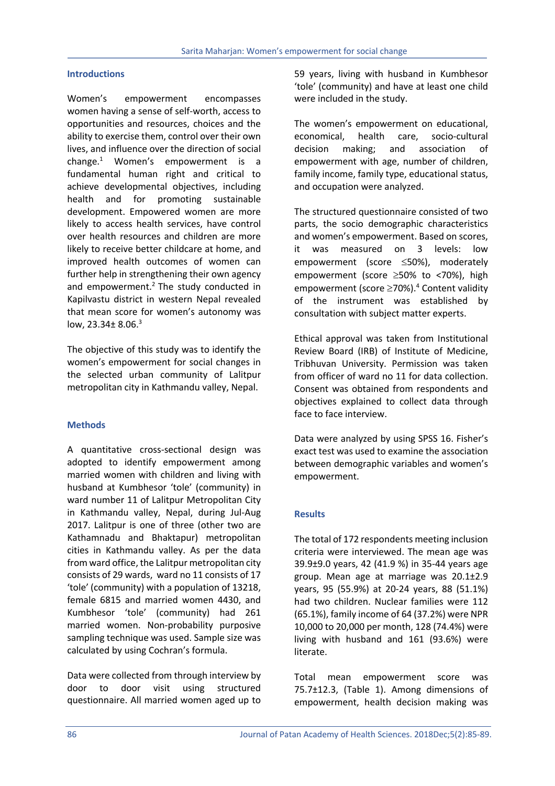#### **Introductions**

Women's empowerment encompasses women having a sense of self-worth, access to opportunities and resources, choices and the ability to exercise them, control over their own lives, and influence over the direction of social change.1 Women's empowerment is a fundamental human right and critical to achieve developmental objectives, including health and for promoting sustainable development. Empowered women are more likely to access health services, have control over health resources and children are more likely to receive better childcare at home, and improved health outcomes of women can further help in strengthening their own agency and empowerment. $2$  The study conducted in Kapilvastu district in western Nepal revealed that mean score for women's autonomy was low,  $23.34 \pm 8.06$ .<sup>3</sup>

The objective of this study was to identify the women's empowerment for social changes in the selected urban community of Lalitpur metropolitan city in Kathmandu valley, Nepal.

# **Methods**

A quantitative cross-sectional design was adopted to identify empowerment among married women with children and living with husband at Kumbhesor 'tole' (community) in ward number 11 of Lalitpur Metropolitan City in Kathmandu valley, Nepal, during Jul-Aug 2017. Lalitpur is one of three (other two are Kathamnadu and Bhaktapur) metropolitan cities in Kathmandu valley. As per the data from ward office, the Lalitpur metropolitan city consists of 29 wards, ward no 11 consists of 17 'tole' (community) with a population of 13218, female 6815 and married women 4430, and Kumbhesor 'tole' (community) had 261 married women. Non-probability purposive sampling technique was used. Sample size was calculated by using Cochran's formula.

Data were collected from through interview by door to door visit using structured questionnaire. All married women aged up to 59 years, living with husband in Kumbhesor 'tole' (community) and have at least one child were included in the study.

The women's empowerment on educational, economical, health care, socio-cultural decision making; and association of empowerment with age, number of children, family income, family type, educational status, and occupation were analyzed.

The structured questionnaire consisted of two parts, the socio demographic characteristics and women's empowerment. Based on scores, it was measured on 3 levels: low empowerment (score  $\leq$ 50%), moderately empowerment (score  $\geq$ 50% to <70%), high empowerment (score ≥70%).<sup>4</sup> Content validity of the instrument was established by consultation with subject matter experts.

Ethical approval was taken from Institutional Review Board (IRB) of Institute of Medicine, Tribhuvan University. Permission was taken from officer of ward no 11 for data collection. Consent was obtained from respondents and objectives explained to collect data through face to face interview.

Data were analyzed by using SPSS 16. Fisher's exact test was used to examine the association between demographic variables and women's empowerment.

#### **Results**

The total of 172 respondents meeting inclusion criteria were interviewed. The mean age was 39.9±9.0 years, 42 (41.9 %) in 35-44 years age group. Mean age at marriage was 20.1±2.9 years, 95 (55.9%) at 20-24 years, 88 (51.1%) had two children. Nuclear families were 112 (65.1%), family income of 64 (37.2%) were NPR 10,000 to 20,000 per month, 128 (74.4%) were living with husband and 161 (93.6%) were literate.

Total mean empowerment score was 75.7±12.3, (Table 1). Among dimensions of empowerment, health decision making was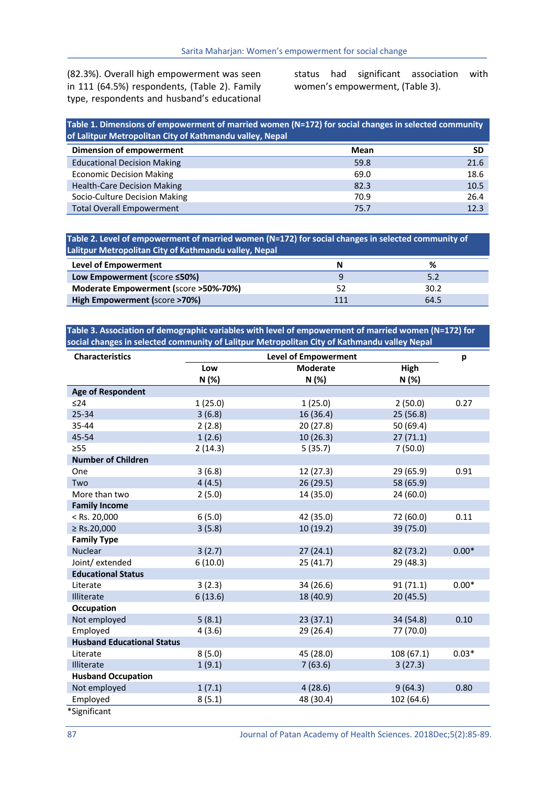(82.3%). Overall high empowerment was seen in 111 (64.5%) respondents, (Table 2). Family type, respondents and husband's educational status had significant association with women's empowerment, (Table 3).

| Table 1. Dimensions of empowerment of married women (N=172) for social changes in selected community<br>of Lalitpur Metropolitan City of Kathmandu valley, Nepal |      |      |  |  |
|------------------------------------------------------------------------------------------------------------------------------------------------------------------|------|------|--|--|
| Dimension of empowerment                                                                                                                                         | Mean | SD   |  |  |
| <b>Educational Decision Making</b>                                                                                                                               | 59.8 | 21.6 |  |  |
| <b>Economic Decision Making</b>                                                                                                                                  | 69.0 | 18.6 |  |  |
| <b>Health-Care Decision Making</b>                                                                                                                               | 82.3 | 10.5 |  |  |
| Socio-Culture Decision Making                                                                                                                                    | 70.9 | 26.4 |  |  |
| <b>Total Overall Empowerment</b>                                                                                                                                 | 75.7 | 12.3 |  |  |

**Table 2. Level of empowerment of married women (N=172) for social changes in selected community of Lalitpur Metropolitan City of Kathmandu valley, Nepal**

| Level of Empowerment                  | N   |      |
|---------------------------------------|-----|------|
| Low Empowerment (score ≤50%)          |     |      |
| Moderate Empowerment (score >50%-70%) | 52  | 30.2 |
| High Empowerment (score >70%)         | 111 | 64.5 |

**Table 3. Association of demographic variables with level of empowerment of married women (N=172) for social changes in selected community of Lalitpur Metropolitan City of Kathmandu valley Nepal**

| <b>Characteristics</b>            | <b>Level of Empowerment</b> |                 |            | р       |
|-----------------------------------|-----------------------------|-----------------|------------|---------|
|                                   | Low                         | <b>Moderate</b> | High       |         |
|                                   | N (%)                       | N (%)           | N(%)       |         |
| <b>Age of Respondent</b>          |                             |                 |            |         |
| ≤24                               | 1(25.0)                     | 1(25.0)         | 2(50.0)    | 0.27    |
| 25-34                             | 3(6.8)                      | 16 (36.4)       | 25 (56.8)  |         |
| 35-44                             | 2(2.8)                      | 20(27.8)        | 50 (69.4)  |         |
| 45-54                             | 1(2.6)                      | 10(26.3)        | 27(71.1)   |         |
| $\geq$ 55                         | 2(14.3)                     | 5(35.7)         | 7(50.0)    |         |
| <b>Number of Children</b>         |                             |                 |            |         |
| One                               | 3(6.8)                      | 12(27.3)        | 29 (65.9)  | 0.91    |
| Two                               | 4(4.5)                      | 26 (29.5)       | 58 (65.9)  |         |
| More than two                     | 2(5.0)                      | 14 (35.0)       | 24 (60.0)  |         |
| <b>Family Income</b>              |                             |                 |            |         |
| $<$ Rs. 20,000                    | 6(5.0)                      | 42 (35.0)       | 72 (60.0)  | 0.11    |
| $\ge$ Rs.20,000                   | 3(5.8)                      | 10(19.2)        | 39 (75.0)  |         |
| <b>Family Type</b>                |                             |                 |            |         |
| <b>Nuclear</b>                    | 3(2.7)                      | 27(24.1)        | 82 (73.2)  | $0.00*$ |
| Joint/ extended                   | 6(10.0)                     | 25(41.7)        | 29 (48.3)  |         |
| <b>Educational Status</b>         |                             |                 |            |         |
| Literate                          | 3(2.3)                      | 34 (26.6)       | 91(71.1)   | $0.00*$ |
| <b>Illiterate</b>                 | 6(13.6)                     | 18 (40.9)       | 20(45.5)   |         |
| Occupation                        |                             |                 |            |         |
| Not employed                      | 5(8.1)                      | 23(37.1)        | 34 (54.8)  | 0.10    |
| Employed                          | 4(3.6)                      | 29 (26.4)       | 77 (70.0)  |         |
| <b>Husband Educational Status</b> |                             |                 |            |         |
| Literate                          | 8(5.0)                      | 45 (28.0)       | 108 (67.1) | $0.03*$ |
| Illiterate                        | 1(9.1)                      | 7(63.6)         | 3(27.3)    |         |
| <b>Husband Occupation</b>         |                             |                 |            |         |
| Not employed                      | 1(7.1)                      | 4(28.6)         | 9(64.3)    | 0.80    |
| Employed                          | 8(5.1)                      | 48 (30.4)       | 102 (64.6) |         |
| *Significant                      |                             |                 |            |         |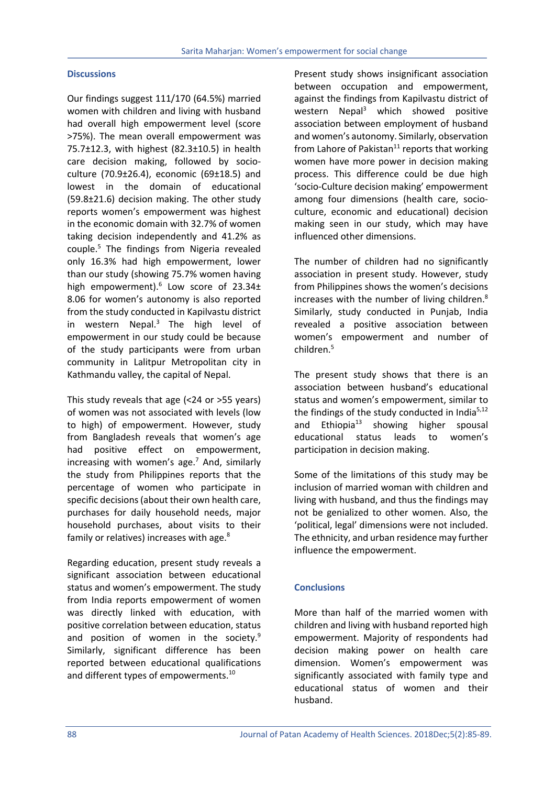## **Discussions**

Our findings suggest 111/170 (64.5%) married women with children and living with husband had overall high empowerment level (score >75%). The mean overall empowerment was 75.7±12.3, with highest (82.3±10.5) in health care decision making, followed by socioculture (70.9±26.4), economic (69±18.5) and lowest in the domain of educational (59.8±21.6) decision making. The other study reports women's empowerment was highest in the economic domain with 32.7% of women taking decision independently and 41.2% as couple.5 The findings from Nigeria revealed only 16.3% had high empowerment, lower than our study (showing 75.7% women having high empowerment).<sup>6</sup> Low score of 23.34± 8.06 for women's autonomy is also reported from the study conducted in Kapilvastu district in western Nepal. $3$  The high level of empowerment in our study could be because of the study participants were from urban community in Lalitpur Metropolitan city in Kathmandu valley, the capital of Nepal.

This study reveals that age (<24 or >55 years) of women was not associated with levels (low to high) of empowerment. However, study from Bangladesh reveals that women's age had positive effect on empowerment, increasing with women's age.<sup>7</sup> And, similarly the study from Philippines reports that the percentage of women who participate in specific decisions (about their own health care, purchases for daily household needs, major household purchases, about visits to their family or relatives) increases with age.<sup>8</sup>

Regarding education, present study reveals a significant association between educational status and women's empowerment. The study from India reports empowerment of women was directly linked with education, with positive correlation between education, status and position of women in the society.<sup>9</sup> Similarly, significant difference has been reported between educational qualifications and different types of empowerments.<sup>10</sup>

Present study shows insignificant association between occupation and empowerment, against the findings from Kapilvastu district of western Nepal<sup>3</sup> which showed positive association between employment of husband and women's autonomy. Similarly, observation from Lahore of Pakistan $11$  reports that working women have more power in decision making process. This difference could be due high 'socio-Culture decision making' empowerment among four dimensions (health care, socioculture, economic and educational) decision making seen in our study, which may have influenced other dimensions.

The number of children had no significantly association in present study. However, study from Philippines shows the women's decisions increases with the number of living children.<sup>8</sup> Similarly, study conducted in Punjab, India revealed a positive association between women's empowerment and number of children.5

The present study shows that there is an association between husband's educational status and women's empowerment, similar to the findings of the study conducted in India $5,12$ and Ethiopia<sup>13</sup> showing higher spousal educational status leads to women's participation in decision making.

Some of the limitations of this study may be inclusion of married woman with children and living with husband, and thus the findings may not be genialized to other women. Also, the 'political, legal' dimensions were not included. The ethnicity, and urban residence may further influence the empowerment.

# **Conclusions**

More than half of the married women with children and living with husband reported high empowerment. Majority of respondents had decision making power on health care dimension. Women's empowerment was significantly associated with family type and educational status of women and their husband.